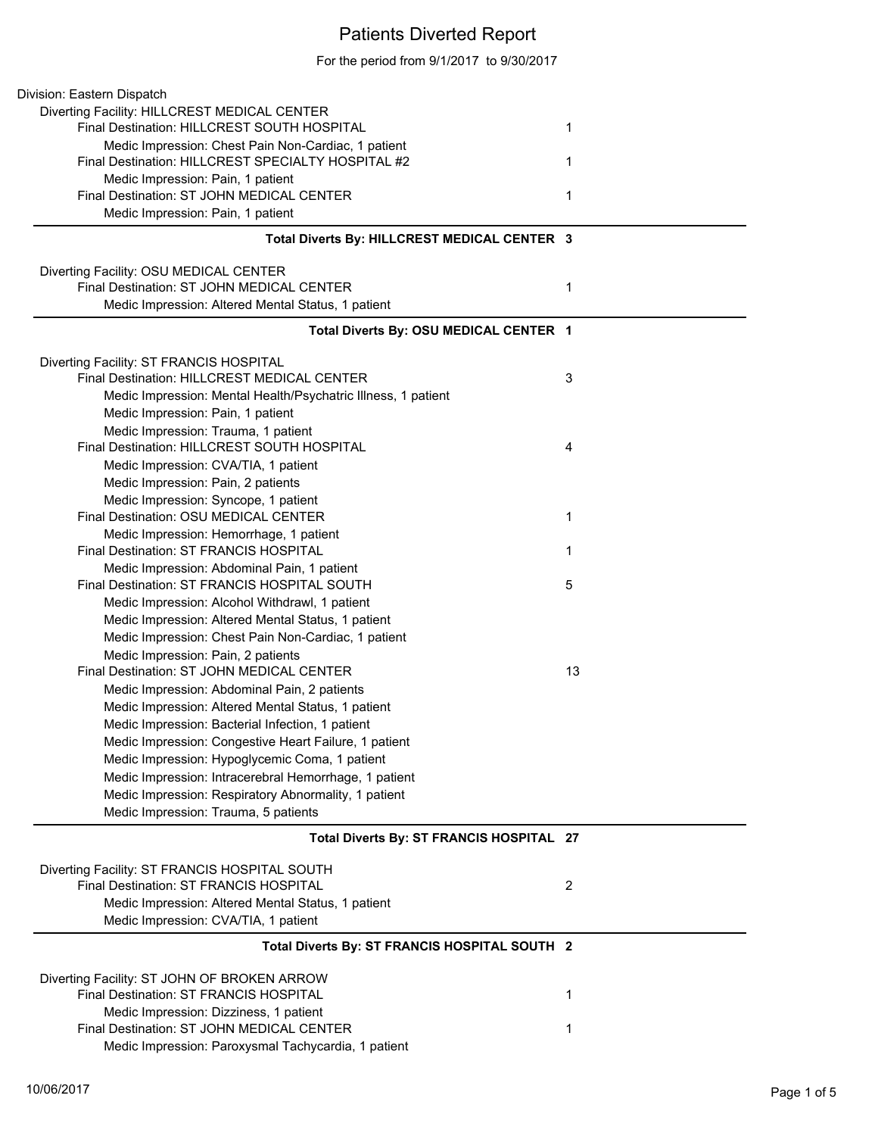## Patients Diverted Report

For the period from 9/1/2017 to 9/30/2017

| Division: Eastern Dispatch                                                             |                |
|----------------------------------------------------------------------------------------|----------------|
| Diverting Facility: HILLCREST MEDICAL CENTER                                           |                |
| Final Destination: HILLCREST SOUTH HOSPITAL                                            | 1              |
| Medic Impression: Chest Pain Non-Cardiac, 1 patient                                    |                |
| Final Destination: HILLCREST SPECIALTY HOSPITAL #2                                     | 1              |
| Medic Impression: Pain, 1 patient                                                      |                |
| Final Destination: ST JOHN MEDICAL CENTER                                              | 1              |
| Medic Impression: Pain, 1 patient                                                      |                |
|                                                                                        |                |
| Total Diverts By: HILLCREST MEDICAL CENTER 3                                           |                |
| Diverting Facility: OSU MEDICAL CENTER                                                 |                |
| Final Destination: ST JOHN MEDICAL CENTER                                              | 1              |
| Medic Impression: Altered Mental Status, 1 patient                                     |                |
| Total Diverts By: OSU MEDICAL CENTER 1                                                 |                |
|                                                                                        |                |
| Diverting Facility: ST FRANCIS HOSPITAL<br>Final Destination: HILLCREST MEDICAL CENTER | 3              |
|                                                                                        |                |
| Medic Impression: Mental Health/Psychatric Illness, 1 patient                          |                |
| Medic Impression: Pain, 1 patient                                                      |                |
| Medic Impression: Trauma, 1 patient                                                    |                |
| Final Destination: HILLCREST SOUTH HOSPITAL                                            | 4              |
| Medic Impression: CVA/TIA, 1 patient                                                   |                |
| Medic Impression: Pain, 2 patients                                                     |                |
| Medic Impression: Syncope, 1 patient                                                   |                |
| Final Destination: OSU MEDICAL CENTER                                                  | 1              |
| Medic Impression: Hemorrhage, 1 patient                                                |                |
| Final Destination: ST FRANCIS HOSPITAL                                                 | 1              |
| Medic Impression: Abdominal Pain, 1 patient                                            |                |
| Final Destination: ST FRANCIS HOSPITAL SOUTH                                           | 5              |
| Medic Impression: Alcohol Withdrawl, 1 patient                                         |                |
| Medic Impression: Altered Mental Status, 1 patient                                     |                |
| Medic Impression: Chest Pain Non-Cardiac, 1 patient                                    |                |
| Medic Impression: Pain, 2 patients                                                     |                |
| Final Destination: ST JOHN MEDICAL CENTER                                              | 13             |
| Medic Impression: Abdominal Pain, 2 patients                                           |                |
| Medic Impression: Altered Mental Status, 1 patient                                     |                |
| Medic Impression: Bacterial Infection, 1 patient                                       |                |
| Medic Impression: Congestive Heart Failure, 1 patient                                  |                |
| Medic Impression: Hypoglycemic Coma, 1 patient                                         |                |
| Medic Impression: Intracerebral Hemorrhage, 1 patient                                  |                |
| Medic Impression: Respiratory Abnormality, 1 patient                                   |                |
| Medic Impression: Trauma, 5 patients                                                   |                |
| Total Diverts By: ST FRANCIS HOSPITAL 27                                               |                |
|                                                                                        |                |
| Diverting Facility: ST FRANCIS HOSPITAL SOUTH                                          |                |
| Final Destination: ST FRANCIS HOSPITAL                                                 | $\overline{2}$ |
| Medic Impression: Altered Mental Status, 1 patient                                     |                |
| Medic Impression: CVA/TIA, 1 patient                                                   |                |
| Total Diverts By: ST FRANCIS HOSPITAL SOUTH 2                                          |                |
| Diverting Facility: ST JOHN OF BROKEN ARROW                                            |                |
| Final Destination: ST FRANCIS HOSPITAL                                                 | 1              |
| Medic Impression: Dizziness, 1 patient                                                 |                |
| Final Destination: ST JOHN MEDICAL CENTER                                              | 1              |
| Medic Impression: Paroxysmal Tachycardia, 1 patient                                    |                |
|                                                                                        |                |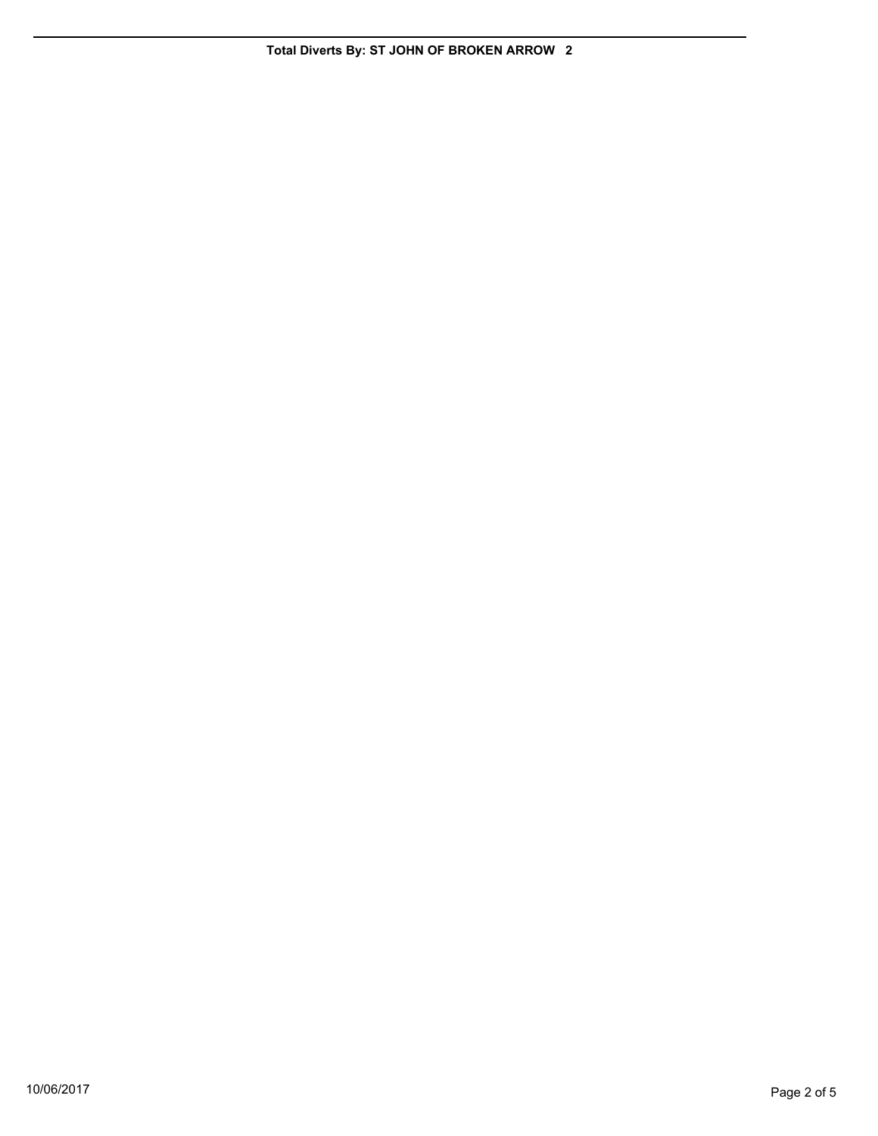**Total Diverts By: ST JOHN OF BROKEN ARROW 2**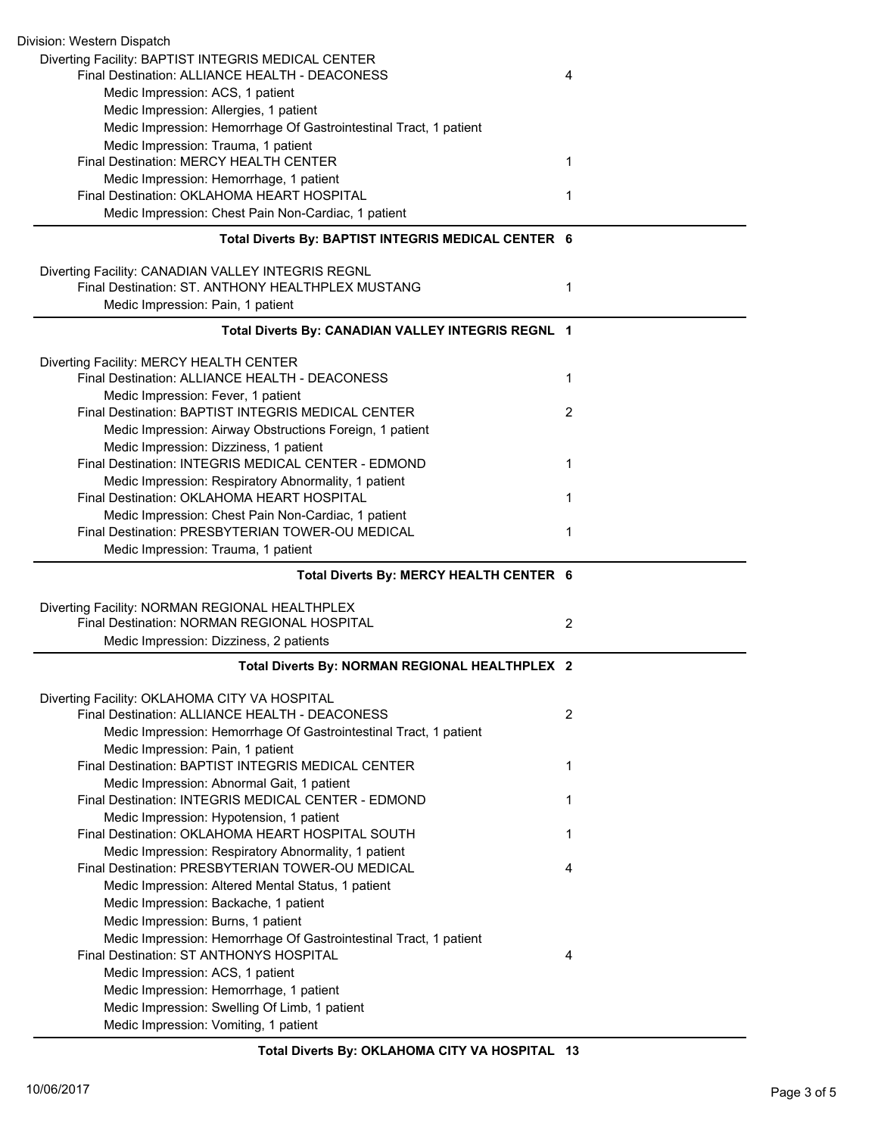| Division: Western Dispatch<br>Diverting Facility: BAPTIST INTEGRIS MEDICAL CENTER                       |                |
|---------------------------------------------------------------------------------------------------------|----------------|
| Final Destination: ALLIANCE HEALTH - DEACONESS                                                          | 4              |
| Medic Impression: ACS, 1 patient                                                                        |                |
| Medic Impression: Allergies, 1 patient                                                                  |                |
| Medic Impression: Hemorrhage Of Gastrointestinal Tract, 1 patient                                       |                |
| Medic Impression: Trauma, 1 patient                                                                     |                |
| Final Destination: MERCY HEALTH CENTER                                                                  | 1              |
| Medic Impression: Hemorrhage, 1 patient                                                                 |                |
| Final Destination: OKLAHOMA HEART HOSPITAL                                                              | 1              |
| Medic Impression: Chest Pain Non-Cardiac, 1 patient                                                     |                |
| Total Diverts By: BAPTIST INTEGRIS MEDICAL CENTER 6                                                     |                |
|                                                                                                         |                |
| Diverting Facility: CANADIAN VALLEY INTEGRIS REGNL<br>Final Destination: ST. ANTHONY HEALTHPLEX MUSTANG | 1              |
| Medic Impression: Pain, 1 patient                                                                       |                |
|                                                                                                         |                |
| Total Diverts By: CANADIAN VALLEY INTEGRIS REGNL 1                                                      |                |
| Diverting Facility: MERCY HEALTH CENTER                                                                 |                |
| Final Destination: ALLIANCE HEALTH - DEACONESS                                                          | 1              |
| Medic Impression: Fever, 1 patient                                                                      |                |
| Final Destination: BAPTIST INTEGRIS MEDICAL CENTER                                                      | 2              |
| Medic Impression: Airway Obstructions Foreign, 1 patient                                                |                |
| Medic Impression: Dizziness, 1 patient                                                                  |                |
| Final Destination: INTEGRIS MEDICAL CENTER - EDMOND                                                     | 1              |
| Medic Impression: Respiratory Abnormality, 1 patient                                                    |                |
| Final Destination: OKLAHOMA HEART HOSPITAL                                                              | 1              |
| Medic Impression: Chest Pain Non-Cardiac, 1 patient                                                     |                |
| Final Destination: PRESBYTERIAN TOWER-OU MEDICAL                                                        | 1              |
| Medic Impression: Trauma, 1 patient                                                                     |                |
| Total Diverts By: MERCY HEALTH CENTER 6                                                                 |                |
| Diverting Facility: NORMAN REGIONAL HEALTHPLEX                                                          |                |
| Final Destination: NORMAN REGIONAL HOSPITAL                                                             | 2              |
| Medic Impression: Dizziness, 2 patients                                                                 |                |
| Total Diverts By: NORMAN REGIONAL HEALTHPLEX 2                                                          |                |
| Diverting Facility: OKLAHOMA CITY VA HOSPITAL                                                           |                |
| Final Destination: ALLIANCE HEALTH - DEACONESS                                                          | $\overline{2}$ |
| Medic Impression: Hemorrhage Of Gastrointestinal Tract, 1 patient                                       |                |
| Medic Impression: Pain, 1 patient                                                                       |                |
| Final Destination: BAPTIST INTEGRIS MEDICAL CENTER                                                      | 1              |
| Medic Impression: Abnormal Gait, 1 patient                                                              |                |
| Final Destination: INTEGRIS MEDICAL CENTER - EDMOND                                                     | 1              |
| Medic Impression: Hypotension, 1 patient                                                                |                |
| Final Destination: OKLAHOMA HEART HOSPITAL SOUTH                                                        | 1              |
| Medic Impression: Respiratory Abnormality, 1 patient                                                    |                |
| Final Destination: PRESBYTERIAN TOWER-OU MEDICAL                                                        | 4              |
| Medic Impression: Altered Mental Status, 1 patient                                                      |                |
| Medic Impression: Backache, 1 patient                                                                   |                |
| Medic Impression: Burns, 1 patient                                                                      |                |
| Medic Impression: Hemorrhage Of Gastrointestinal Tract, 1 patient                                       |                |
| Final Destination: ST ANTHONYS HOSPITAL                                                                 | 4              |
| Medic Impression: ACS, 1 patient                                                                        |                |
| Medic Impression: Hemorrhage, 1 patient                                                                 |                |
| Medic Impression: Swelling Of Limb, 1 patient                                                           |                |
| Medic Impression: Vomiting, 1 patient                                                                   |                |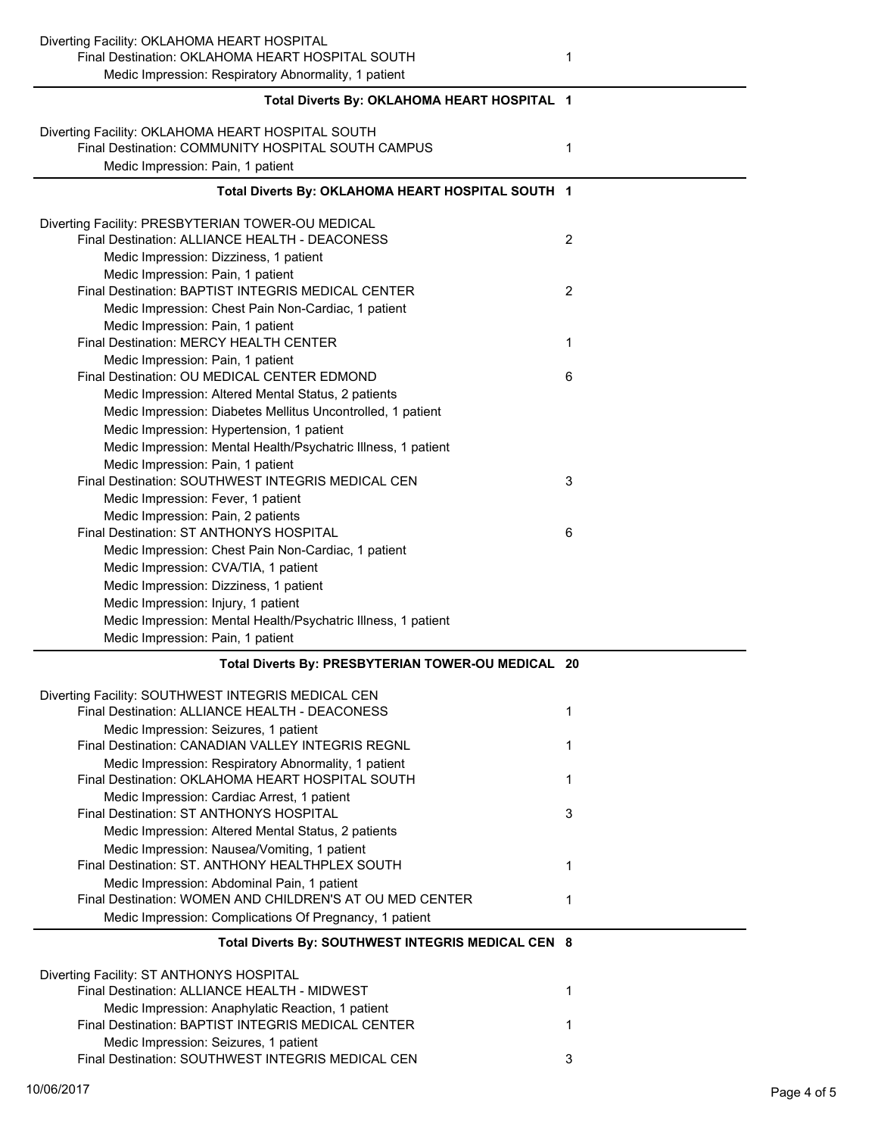| Diverting Facility: OKLAHOMA HEART HOSPITAL                                                                        |                |
|--------------------------------------------------------------------------------------------------------------------|----------------|
| Final Destination: OKLAHOMA HEART HOSPITAL SOUTH                                                                   | 1              |
| Medic Impression: Respiratory Abnormality, 1 patient                                                               |                |
| Total Diverts By: OKLAHOMA HEART HOSPITAL 1                                                                        |                |
| Diverting Facility: OKLAHOMA HEART HOSPITAL SOUTH                                                                  |                |
| Final Destination: COMMUNITY HOSPITAL SOUTH CAMPUS                                                                 | 1              |
| Medic Impression: Pain, 1 patient                                                                                  |                |
|                                                                                                                    |                |
| Total Diverts By: OKLAHOMA HEART HOSPITAL SOUTH 1                                                                  |                |
| Diverting Facility: PRESBYTERIAN TOWER-OU MEDICAL                                                                  |                |
| Final Destination: ALLIANCE HEALTH - DEACONESS                                                                     | $\overline{2}$ |
| Medic Impression: Dizziness, 1 patient                                                                             |                |
| Medic Impression: Pain, 1 patient                                                                                  |                |
| Final Destination: BAPTIST INTEGRIS MEDICAL CENTER                                                                 | 2              |
| Medic Impression: Chest Pain Non-Cardiac, 1 patient                                                                |                |
| Medic Impression: Pain, 1 patient                                                                                  |                |
| Final Destination: MERCY HEALTH CENTER                                                                             | 1              |
| Medic Impression: Pain, 1 patient                                                                                  |                |
| Final Destination: OU MEDICAL CENTER EDMOND                                                                        | 6              |
| Medic Impression: Altered Mental Status, 2 patients<br>Medic Impression: Diabetes Mellitus Uncontrolled, 1 patient |                |
| Medic Impression: Hypertension, 1 patient                                                                          |                |
| Medic Impression: Mental Health/Psychatric Illness, 1 patient                                                      |                |
| Medic Impression: Pain, 1 patient                                                                                  |                |
| Final Destination: SOUTHWEST INTEGRIS MEDICAL CEN                                                                  | 3              |
| Medic Impression: Fever, 1 patient                                                                                 |                |
| Medic Impression: Pain, 2 patients                                                                                 |                |
| Final Destination: ST ANTHONYS HOSPITAL                                                                            | 6              |
| Medic Impression: Chest Pain Non-Cardiac, 1 patient                                                                |                |
| Medic Impression: CVA/TIA, 1 patient                                                                               |                |
| Medic Impression: Dizziness, 1 patient                                                                             |                |
| Medic Impression: Injury, 1 patient                                                                                |                |
| Medic Impression: Mental Health/Psychatric Illness, 1 patient                                                      |                |
| Medic Impression: Pain, 1 patient                                                                                  |                |
| Total Diverts By: PRESBYTERIAN TOWER-OU MEDICAL 20                                                                 |                |
| Diverting Facility: SOUTHWEST INTEGRIS MEDICAL CEN                                                                 |                |
| Final Destination: ALLIANCE HEALTH - DEACONESS                                                                     | 1              |
| Medic Impression: Seizures, 1 patient                                                                              |                |
| Final Destination: CANADIAN VALLEY INTEGRIS REGNL                                                                  | 1              |
| Medic Impression: Respiratory Abnormality, 1 patient                                                               |                |
| Final Destination: OKLAHOMA HEART HOSPITAL SOUTH                                                                   | 1              |
| Medic Impression: Cardiac Arrest, 1 patient                                                                        |                |
| Final Destination: ST ANTHONYS HOSPITAL                                                                            | 3              |
| Medic Impression: Altered Mental Status, 2 patients                                                                |                |
| Medic Impression: Nausea/Vomiting, 1 patient<br>Final Destination: ST. ANTHONY HEALTHPLEX SOUTH                    |                |
|                                                                                                                    |                |
|                                                                                                                    | 1              |
| Medic Impression: Abdominal Pain, 1 patient                                                                        |                |
| Final Destination: WOMEN AND CHILDREN'S AT OU MED CENTER                                                           | 1              |
| Medic Impression: Complications Of Pregnancy, 1 patient                                                            |                |
| Total Diverts By: SOUTHWEST INTEGRIS MEDICAL CEN 8                                                                 |                |
| Diverting Facility: ST ANTHONYS HOSPITAL                                                                           |                |
| Final Destination: ALLIANCE HEALTH - MIDWEST                                                                       | 1              |
| Medic Impression: Anaphylatic Reaction, 1 patient                                                                  |                |
| Final Destination: BAPTIST INTEGRIS MEDICAL CENTER                                                                 | 1              |
| Medic Impression: Seizures, 1 patient<br>Final Destination: SOUTHWEST INTEGRIS MEDICAL CEN                         | 3              |